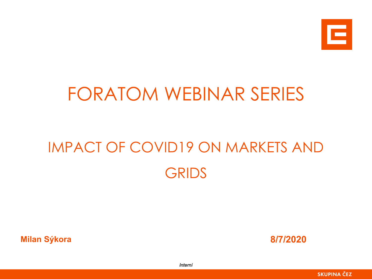

## FORATOM WEBINAR SERIES

# IMPACT OF COVID19 ON MARKETS AND GRIDS

**Milan Sýkora 8/7/2020**



*Interní*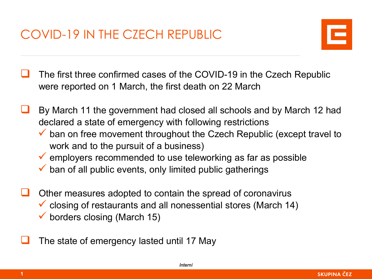COVID-19 IN THE CZECH REPUBLIC



- The first three confirmed cases of the COVID-19 in the Czech Republic were reported on 1 March, the first death on 22 March
- By March 11 the government had closed all schools and by March 12 had declared a state of emergency with following restrictions
	- $\checkmark$  ban on free movement throughout the Czech Republic (except travel to work and to the pursuit of a business)
	- $\checkmark$  employers recommended to use teleworking as far as possible
	- $\checkmark$  ban of all public events, only limited public gatherings
- Other measures adopted to contain the spread of coronavirus  $\checkmark$  closing of restaurants and all nonessential stores (March 14)  $\checkmark$  borders closing (March 15)
- The state of emergency lasted until 17 May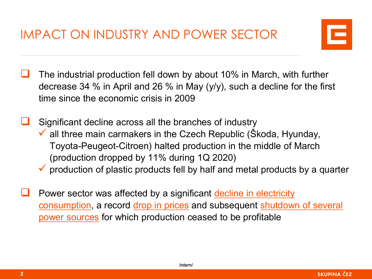IMPACT ON INDUSTRY AND POWER SECTOR



 The industrial production fell down by about 10% in March, with further decrease 34 % in April and 26 % in May (y/y), such a decline for the first time since the economic crisis in 2009

 Significant decline across all the branches of industry  $\checkmark$  all three main carmakers in the Czech Republic (Škoda, Hyunday, Toyota-Peugeot-Citroen) halted production in the middle of March (production dropped by 11% during 1Q 2020)

- $\checkmark$  production of plastic products fell by half and metal products by a quarter
- Power sector was affected by a significant decline in electricity consumption, a record drop in prices and subsequent shutdown of several power sources for which production ceased to be profitable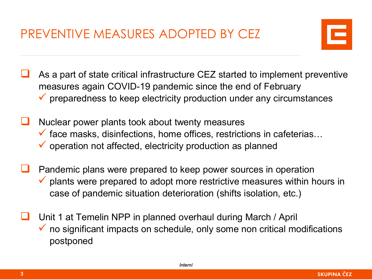PREVENTIVE MEASURES ADOPTED BY CEZ



- As a part of state critical infrastructure CEZ started to implement preventive measures again COVID-19 pandemic since the end of February  $\checkmark$  preparedness to keep electricity production under any circumstances
- Nuclear power plants took about twenty measures  $\checkmark$  face masks, disinfections, home offices, restrictions in cafeterias...  $\checkmark$  operation not affected, electricity production as planned
- Pandemic plans were prepared to keep power sources in operation  $\checkmark$  plants were prepared to adopt more restrictive measures within hours in case of pandemic situation deterioration (shifts isolation, etc.)
- Unit 1 at Temelin NPP in planned overhaul during March / April  $\checkmark$  no significant impacts on schedule, only some non critical modifications postponed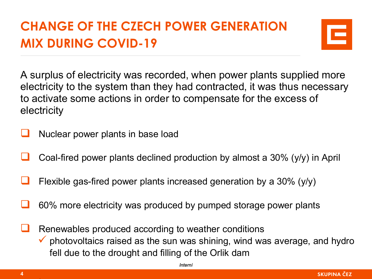### **CHANGE OF THE CZECH POWER GENERATION MIX DURING COVID-19**



A surplus of electricity was recorded, when power plants supplied more electricity to the system than they had contracted, it was thus necessary to activate some actions in order to compensate for the excess of electricity

- Nuclear power plants in base load
- Coal-fired power plants declined production by almost a 30% (y/y) in April
- Flexible gas-fired power plants increased generation by a 30% (y/y)
- 60% more electricity was produced by pumped storage power plants

 Renewables produced according to weather conditions  $\checkmark$  photovoltaics raised as the sun was shining, wind was average, and hydro fell due to the drought and filling of the Orlik dam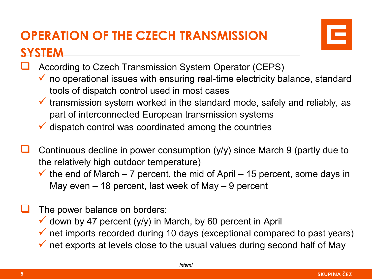#### **OPERATION OF THE CZECH TRANSMISSION SYSTEM**



- According to Czech Transmission System Operator (CEPS)
	- $\checkmark$  no operational issues with ensuring real-time electricity balance, standard tools of dispatch control used in most cases
	- $\checkmark$  transmission system worked in the standard mode, safely and reliably, as part of interconnected European transmission systems
	- $\checkmark$  dispatch control was coordinated among the countries
- Continuous decline in power consumption (y/y) since March 9 (partly due to the relatively high outdoor temperature)
	- $\checkmark$  the end of March 7 percent, the mid of April 15 percent, some days in May even – 18 percent, last week of May – 9 percent
- The power balance on borders:
	- $\checkmark$  down by 47 percent (y/y) in March, by 60 percent in April
	- $\checkmark$  net imports recorded during 10 days (exceptional compared to past years)
	- $\checkmark$  net exports at levels close to the usual values during second half of May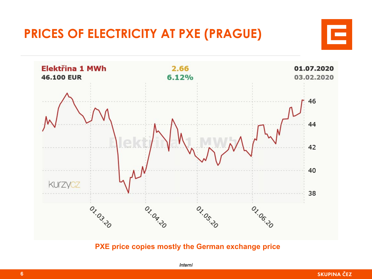#### **PRICES OF ELECTRICITY AT PXE (PRAGUE)**



**PXE price copies mostly the German exchange price**



Ξ

**SKUPINA ČEZ**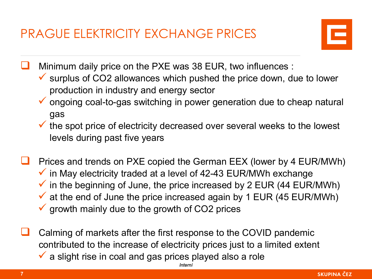PRAGUE ELEKTRICITY EXCHANGE PRICES



Minimum daily price on the PXE was 38 EUR, two influences :

- $\checkmark$  surplus of CO2 allowances which pushed the price down, due to lower production in industry and energy sector
- $\checkmark$  ongoing coal-to-gas switching in power generation due to cheap natural gas
- $\checkmark$  the spot price of electricity decreased over several weeks to the lowest levels during past five years
- Prices and trends on PXE copied the German EEX (lower by 4 EUR/MWh)  $\checkmark$  in May electricity traded at a level of 42-43 EUR/MWh exchange  $\checkmark$  in the beginning of June, the price increased by 2 EUR (44 EUR/MWh)  $\checkmark$  at the end of June the price increased again by 1 EUR (45 EUR/MWh)  $\checkmark$  growth mainly due to the growth of CO2 prices
- *Interní* Calming of markets after the first response to the COVID pandemic contributed to the increase of electricity prices just to a limited extent  $\checkmark$  a slight rise in coal and gas prices played also a role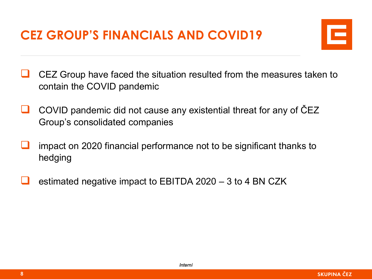#### **CEZ GROUP'S FINANCIALS AND COVID19**



- CEZ Group have faced the situation resulted from the measures taken to contain the COVID pandemic
- COVID pandemic did not cause any existential threat for any of ČEZ Group's consolidated companies
- impact on 2020 financial performance not to be significant thanks to hedging
- estimated negative impact to EBITDA 2020 3 to 4 BN CZK